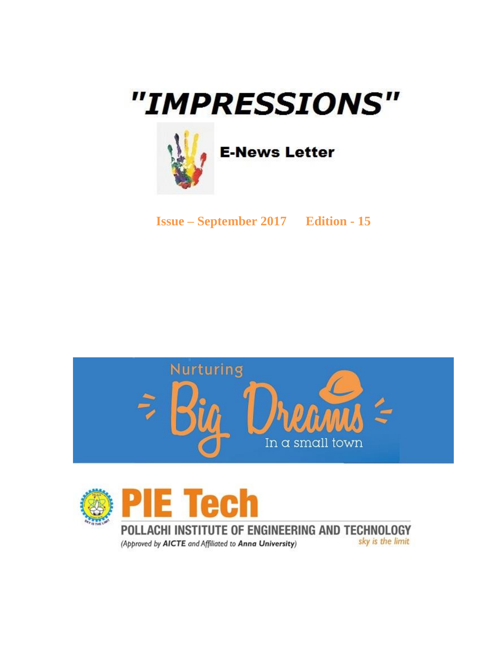# "IMPRESSIONS"



**E-News Letter** 

**Issue – September 2017 Edition - 15**





POLLACHI INSTITUTE OF ENGINEERING AND TECHNOLOGY sky is the limit (Approved by AICTE and Affiliated to Anna University)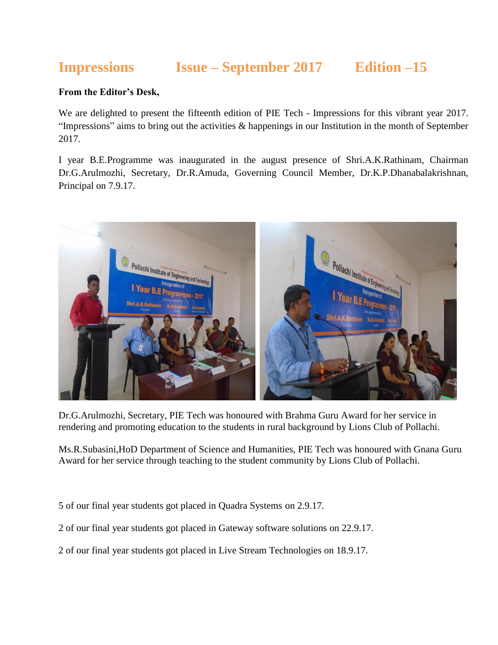# **Impressions Issue – September 2017 Edition –15**

#### **From the Editor's Desk,**

We are delighted to present the fifteenth edition of PIE Tech - Impressions for this vibrant year 2017. "Impressions" aims to bring out the activities  $\&$  happenings in our Institution in the month of September 2017.

I year B.E.Programme was inaugurated in the august presence of Shri.A.K.Rathinam, Chairman Dr.G.Arulmozhi, Secretary, Dr.R.Amuda, Governing Council Member, Dr.K.P.Dhanabalakrishnan, Principal on 7.9.17.



Dr.G.Arulmozhi, Secretary, PIE Tech was honoured with Brahma Guru Award for her service in rendering and promoting education to the students in rural background by Lions Club of Pollachi.

Ms.R.Subasini,HoD Department of Science and Humanities, PIE Tech was honoured with Gnana Guru Award for her service through teaching to the student community by Lions Club of Pollachi.

5 of our final year students got placed in Quadra Systems on 2.9.17.

2 of our final year students got placed in Gateway software solutions on 22.9.17.

2 of our final year students got placed in Live Stream Technologies on 18.9.17.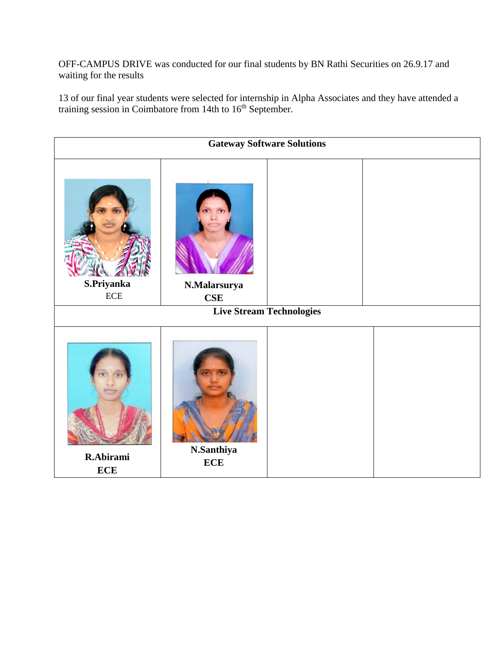OFF-CAMPUS DRIVE was conducted for our final students by BN Rathi Securities on 26.9.17 and waiting for the results

13 of our final year students were selected for internship in Alpha Associates and they have attended a training session in Coimbatore from 14th to 16<sup>th</sup> September.

**Gateway Software Solutions S.Priyanka** ECE **N.Malarsurya CSE Live Stream Technologies R.Abirami ECE N.Santhiya ECE**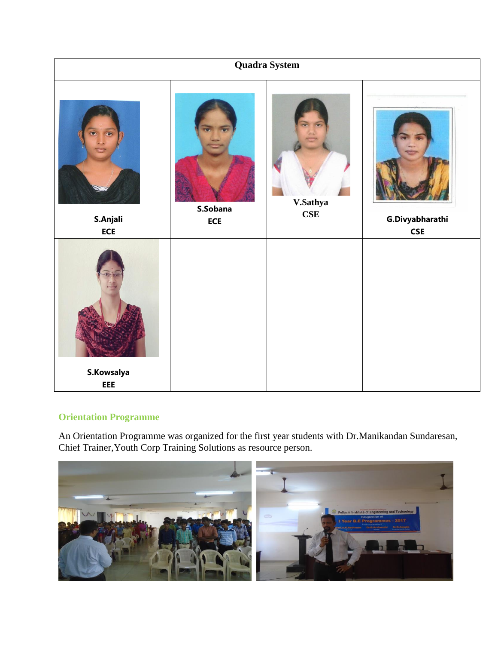

#### **Orientation Programme**

An Orientation Programme was organized for the first year students with Dr.Manikandan Sundaresan, Chief Trainer,Youth Corp Training Solutions as resource person.

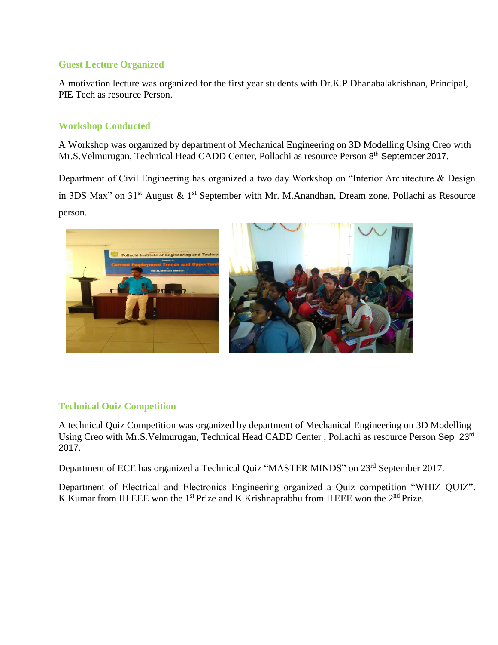#### **Guest Lecture Organized**

A motivation lecture was organized for the first year students with Dr.K.P.Dhanabalakrishnan, Principal, PIE Tech as resource Person.

#### **Workshop Conducted**

A Workshop was organized by department of Mechanical Engineering on 3D Modelling Using Creo with Mr.S.Velmurugan, Technical Head CADD Center, Pollachi as resource Person 8<sup>th</sup> September 2017.

Department of Civil Engineering has organized a two day Workshop on "Interior Architecture & Design in 3DS Max" on  $31<sup>st</sup>$  August & 1<sup>st</sup> September with Mr. M.Anandhan, Dream zone, Pollachi as Resource person.



#### **Technical Ouiz Competition**

A technical Quiz Competition was organized by department of Mechanical Engineering on 3D Modelling Using Creo with Mr.S.Velmurugan, Technical Head CADD Center , Pollachi as resource Person Sep 23rd 2017.

Department of ECE has organized a Technical Quiz "MASTER MINDS" on 23rd September 2017.

Department of Electrical and Electronics Engineering organized a Quiz competition "WHIZ QUIZ". K.Kumar from III EEE won the 1<sup>st</sup> Prize and K.Krishnaprabhu from II EEE won the 2<sup>nd</sup> Prize.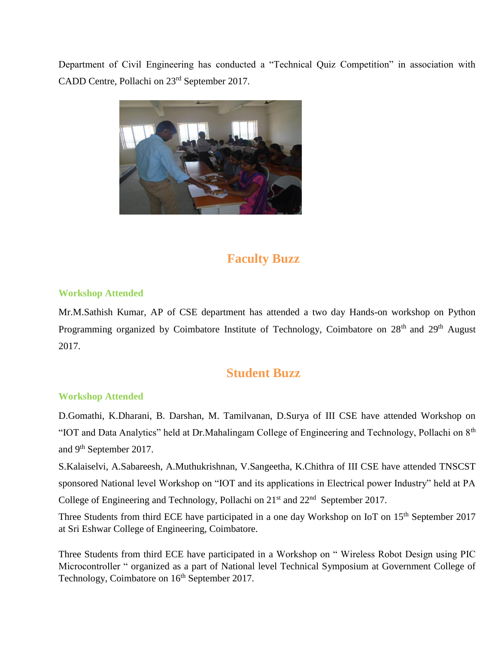Department of Civil Engineering has conducted a "Technical Quiz Competition" in association with CADD Centre, Pollachi on 23rd September 2017.



## **Faculty Buzz**

#### **Workshop Attended**

Mr.M.Sathish Kumar, AP of CSE department has attended a two day Hands-on workshop on Python Programming organized by Coimbatore Institute of Technology, Coimbatore on 28<sup>th</sup> and 29<sup>th</sup> August 2017.

### **Student Buzz**

#### **Workshop Attended**

D.Gomathi, K.Dharani, B. Darshan, M. Tamilvanan, D.Surya of III CSE have attended Workshop on "IOT and Data Analytics" held at Dr.Mahalingam College of Engineering and Technology, Pollachi on 8th and 9th September 2017.

S.Kalaiselvi, A.Sabareesh, A.Muthukrishnan, V.Sangeetha, K.Chithra of III CSE have attended TNSCST sponsored National level Workshop on "IOT and its applications in Electrical power Industry" held at PA College of Engineering and Technology, Pollachi on  $21<sup>st</sup>$  and  $22<sup>nd</sup>$  September 2017.

Three Students from third ECE have participated in a one day Workshop on IoT on 15<sup>th</sup> September 2017 at Sri Eshwar College of Engineering, Coimbatore.

Three Students from third ECE have participated in a Workshop on " Wireless Robot Design using PIC Microcontroller " organized as a part of National level Technical Symposium at Government College of Technology, Coimbatore on  $16<sup>th</sup>$  September 2017.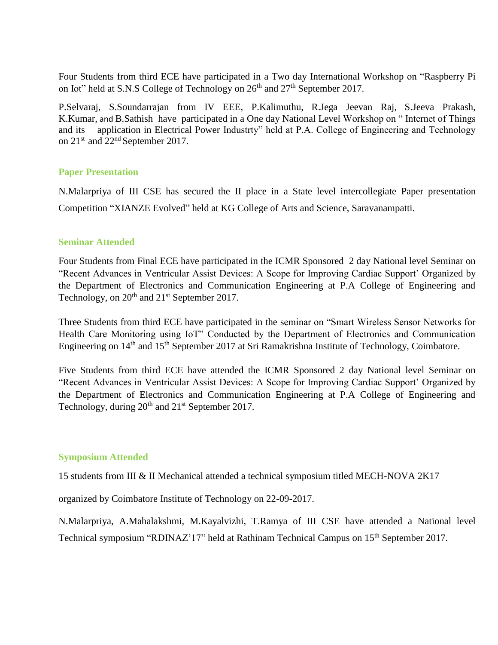Four Students from third ECE have participated in a Two day International Workshop on "Raspberry Pi on Iot" held at S.N.S College of Technology on  $26<sup>th</sup>$  and  $27<sup>th</sup>$  September 2017.

P.Selvaraj, S.Soundarrajan from IV EEE, P.Kalimuthu, R.Jega Jeevan Raj, S.Jeeva Prakash, K.Kumar, and B.Sathish have participated in a One day National Level Workshop on " Internet of Things and its application in Electrical Power Industrty" held at P.A. College of Engineering and Technology on 21<sup>st</sup> and 22<sup>nd</sup> September 2017.

#### **Paper Presentation**

N.Malarpriya of III CSE has secured the II place in a State level intercollegiate Paper presentation Competition "XIANZE Evolved" held at KG College of Arts and Science, Saravanampatti.

#### **Seminar Attended**

Four Students from Final ECE have participated in the ICMR Sponsored 2 day National level Seminar on "Recent Advances in Ventricular Assist Devices: A Scope for Improving Cardiac Support' Organized by the Department of Electronics and Communication Engineering at P.A College of Engineering and Technology, on  $20<sup>th</sup>$  and  $21<sup>st</sup>$  September 2017.

Three Students from third ECE have participated in the seminar on "Smart Wireless Sensor Networks for Health Care Monitoring using IoT" Conducted by the Department of Electronics and Communication Engineering on 14<sup>th</sup> and 15<sup>th</sup> September 2017 at Sri Ramakrishna Institute of Technology, Coimbatore.

Five Students from third ECE have attended the ICMR Sponsored 2 day National level Seminar on "Recent Advances in Ventricular Assist Devices: A Scope for Improving Cardiac Support' Organized by the Department of Electronics and Communication Engineering at P.A College of Engineering and Technology, during  $20<sup>th</sup>$  and  $21<sup>st</sup>$  September 2017.

#### **Symposium Attended**

15 students from III & II Mechanical attended a technical symposium titled MECH-NOVA 2K17

organized by Coimbatore Institute of Technology on 22-09-2017.

N.Malarpriya, A.Mahalakshmi, M.Kayalvizhi, T.Ramya of III CSE have attended a National level Technical symposium "RDINAZ'17" held at Rathinam Technical Campus on 15th September 2017.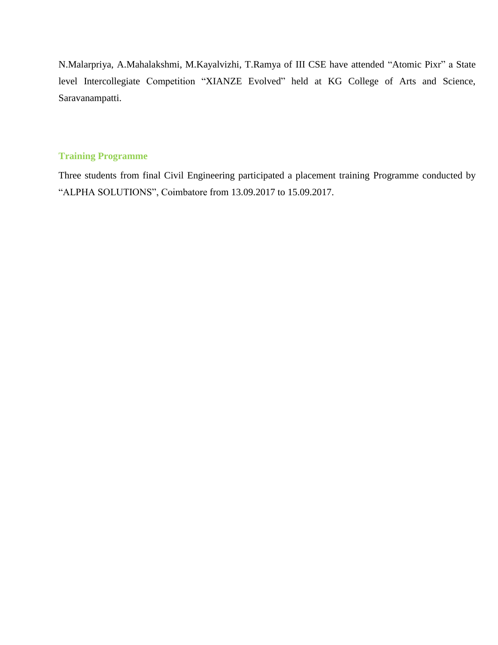N.Malarpriya, A.Mahalakshmi, M.Kayalvizhi, T.Ramya of III CSE have attended "Atomic Pixr" a State level Intercollegiate Competition "XIANZE Evolved" held at KG College of Arts and Science, Saravanampatti.

#### **Training Programme**

Three students from final Civil Engineering participated a placement training Programme conducted by "ALPHA SOLUTIONS", Coimbatore from 13.09.2017 to 15.09.2017.